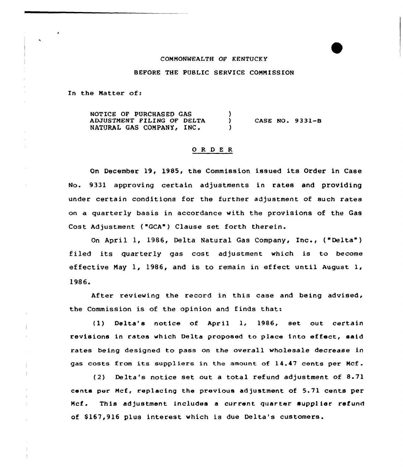#### COMMONWEALTH OF KENTUCKY

# BEFORE THE PUBLIC SERVICE CONNISSION

In the Matter of:

 $\pm$ 

NOTICE OF PURCHASED GAS ١. ADJUSTMENT FILING OF DELTA CASE NO. 9331-B  $\lambda$ NATURAL GAS COMPANY, INC.  $\lambda$ 

### 0 R <sup>D</sup> E R

On December 19, 1985, the Commission issued its Order in Case No. 9331 approving certain adjustments in rates and providing under certain conditions for the further adjustment of such rates on a quarterly basis in accordance with the provisions of the Gas Cost Adjustment ("GCA") Clause set forth therein.

On April 1, 1986, Delta Natural Gas Company, Inc., ("Delta") filed its quarterly gas cost adjustment which is to become effective Nay 1, 1986, and is to remain in effect until August 1, 1986.

After reviewing the record in this case and being advised, the Commission is of the opinion and finds that:

(1) Delta's notice of April 1, 1986, set out certain revisions in rates which Delta proposed to place into effect, said rates being designed to pass on the overall wholesale decrease in gas costs from its suppliers in the amount of 14.47 cents per Ncf.

(2) Delta's notice set out <sup>a</sup> total refund adjustment of 8.71 cents per Ncf, replacing the previous ad justment of 5.71 cents per Ncf. This adjustment includes a current quarter supplier refund of \$167,916 plus interest which is due Delta's customers.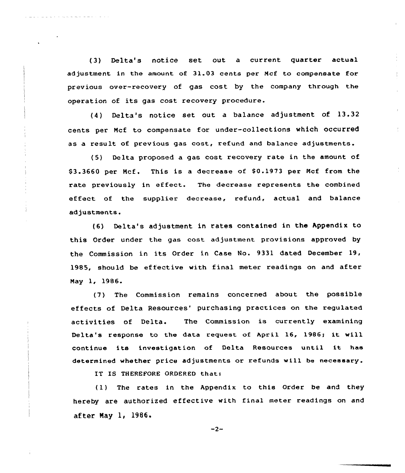(3) Delta's notice set out a current quarter actual ad justment in the amount of 31.03 cents per Ncf to compensate for previous over-recovery of gas cost by the company through the operation of its gas cost recovery procedure.

(4) Delta's notice set out <sup>a</sup> balance adjustment of 13.32 cents per Ncf to compensate for under-collections which occurred as a result of previous gas cost, refund and balance adjustments.

(5) Delta proposed a gas cost recovery rate in the amount of S3.3660 per Ncf. This is a decrease of S0.1973 per Ncf from the rate previously in effect. The decrease represents the combined effect of the supplier decrease, refund, actual and balance adjustments.

(6) Delta's adjustment in rates contained in the Appendix to this Order under the gas cost adjustment provisions approved by the Commission in its Order in Case No. 9331 dated December 19, 1985, should be effective with final meter readings on and after Nay 1, 1986

(7) The Commission remains concerned about the passible effects of Delta Resources' purchasing practices on the regulated activities of Delta. The Commission is currently examining Delta's response to the data request of April 16, 1986; it will continue its investigation of Delta Resources until it has determined whether price adjustments or refunds will be necessary.

IT IS THEREfORE ORDERED that:

(1) The rates in the Appendix to this Order be and they hereby are authorized effective with final meter readings on and after Nay 1, 1986.

$$
-2-
$$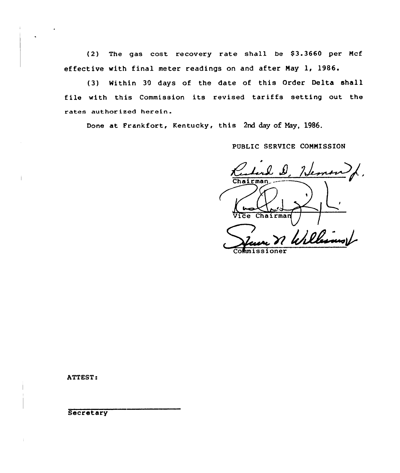(2) The gas cost recovery rate shall be \$3.3660 per Mcf effective with final meter readings on and after Nay 1, 1986.

(3} Nithin 30 days of the date of this Order Delta shell file with this Commission its revised tariffs setting out the rates authorized herein.

Done at Frankfort, Kentucky, this 2nd day of May, 1986.

PUBLIC SERUICE COMNISSION

<u>Hem</u>  $Chairman$ J  $C$ hairman Vice Williams

Commissione

ATTEST:

**Secretary**